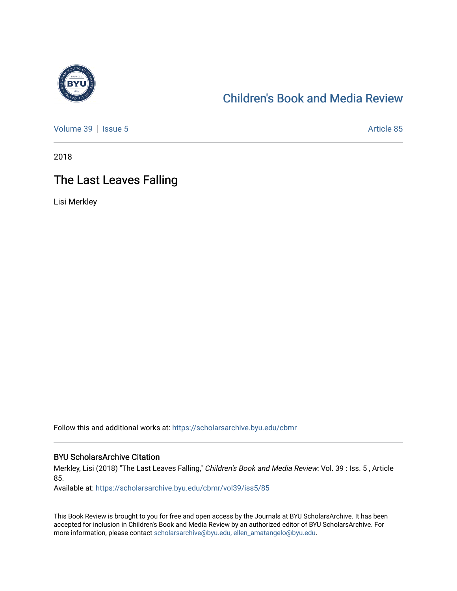

## [Children's Book and Media Review](https://scholarsarchive.byu.edu/cbmr)

[Volume 39](https://scholarsarchive.byu.edu/cbmr/vol39) | [Issue 5](https://scholarsarchive.byu.edu/cbmr/vol39/iss5) Article 85

2018

# The Last Leaves Falling

Lisi Merkley

Follow this and additional works at: [https://scholarsarchive.byu.edu/cbmr](https://scholarsarchive.byu.edu/cbmr?utm_source=scholarsarchive.byu.edu%2Fcbmr%2Fvol39%2Fiss5%2F85&utm_medium=PDF&utm_campaign=PDFCoverPages) 

#### BYU ScholarsArchive Citation

Merkley, Lisi (2018) "The Last Leaves Falling," Children's Book and Media Review: Vol. 39 : Iss. 5 , Article 85.

Available at: [https://scholarsarchive.byu.edu/cbmr/vol39/iss5/85](https://scholarsarchive.byu.edu/cbmr/vol39/iss5/85?utm_source=scholarsarchive.byu.edu%2Fcbmr%2Fvol39%2Fiss5%2F85&utm_medium=PDF&utm_campaign=PDFCoverPages)

This Book Review is brought to you for free and open access by the Journals at BYU ScholarsArchive. It has been accepted for inclusion in Children's Book and Media Review by an authorized editor of BYU ScholarsArchive. For more information, please contact [scholarsarchive@byu.edu, ellen\\_amatangelo@byu.edu.](mailto:scholarsarchive@byu.edu,%20ellen_amatangelo@byu.edu)